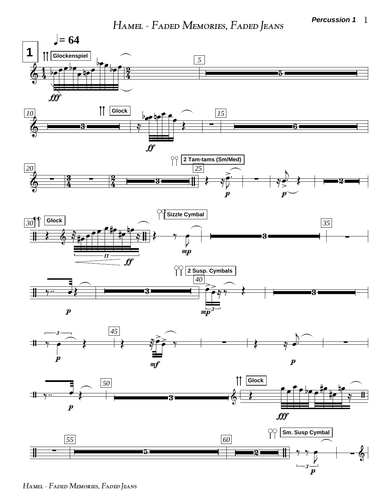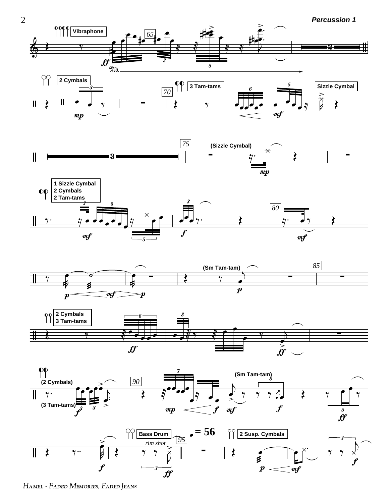*Percussion 1*













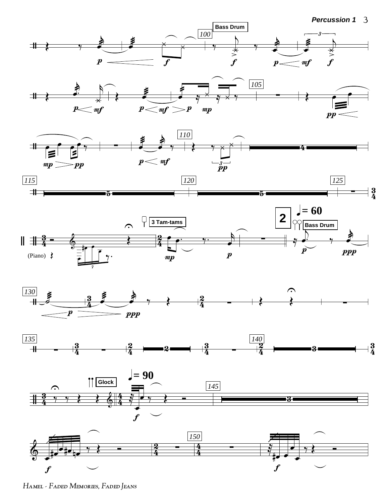3 *Percussion 1*



Hamel - Faded Memories, Faded Jeans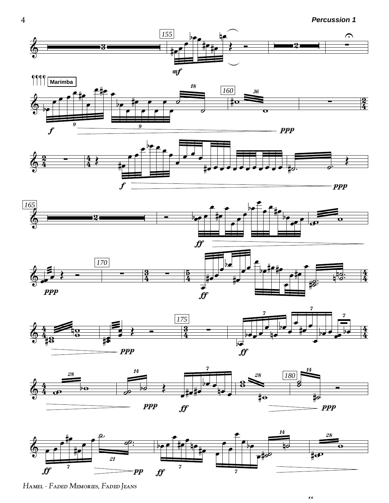## *Percussion 1*

















Hamel - Faded Memories, Faded Jeans

4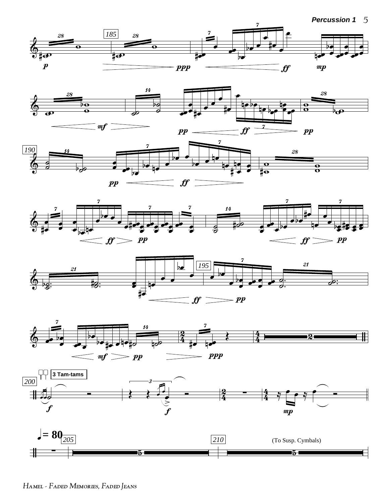











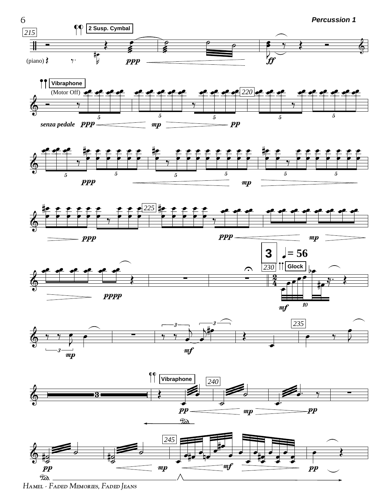













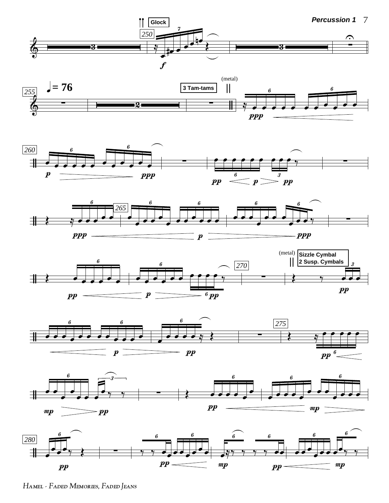















Hamel - Faded Memories, Faded Jeans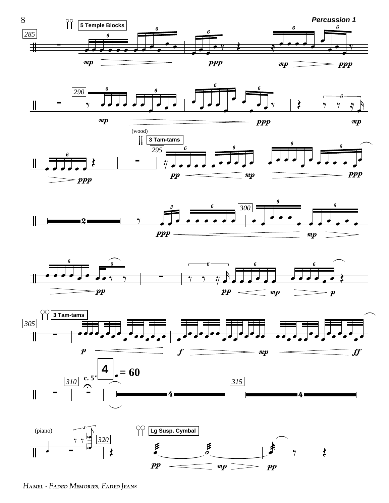











Hamel - Faded Memories, Faded Jeans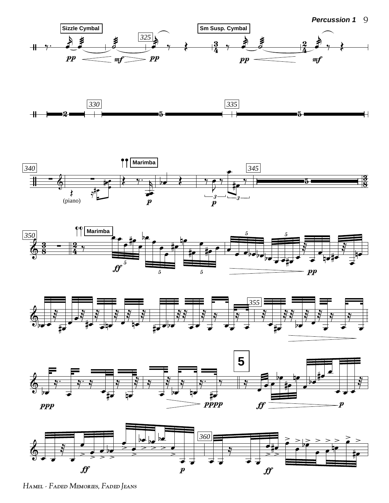















Hamel - Faded Memories, Faded Jeans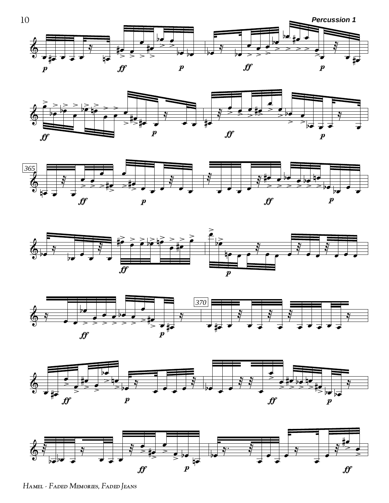











![](_page_9_Figure_6.jpeg)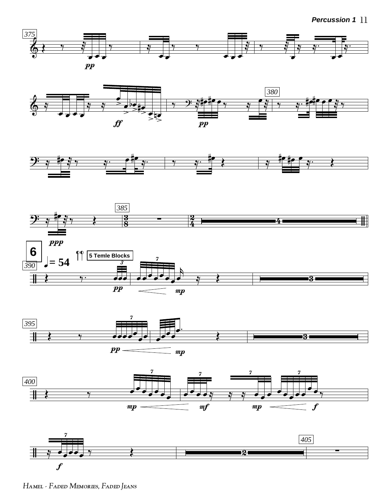![](_page_10_Figure_1.jpeg)

![](_page_10_Figure_2.jpeg)

![](_page_10_Figure_3.jpeg)

![](_page_10_Figure_4.jpeg)

![](_page_10_Figure_5.jpeg)

![](_page_10_Figure_6.jpeg)

![](_page_10_Figure_7.jpeg)

![](_page_10_Figure_8.jpeg)

Hamel - Faded Memories, Faded Jeans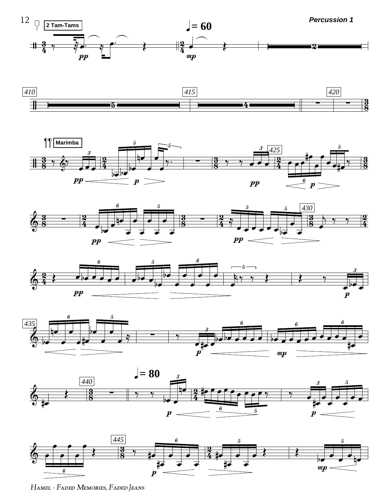![](_page_11_Figure_0.jpeg)

![](_page_11_Figure_1.jpeg)

![](_page_11_Figure_2.jpeg)

![](_page_11_Figure_3.jpeg)

![](_page_11_Figure_4.jpeg)

![](_page_11_Figure_5.jpeg)

![](_page_11_Figure_6.jpeg)

![](_page_11_Figure_7.jpeg)

Hamel - Faded Memories, Faded Jeans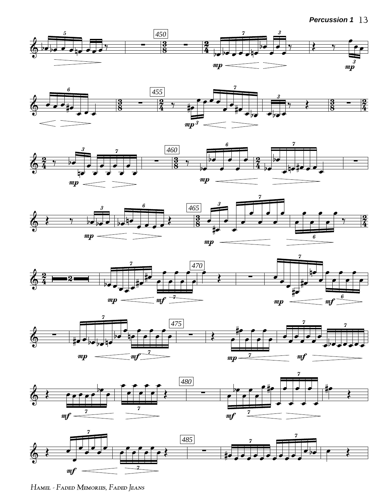![](_page_12_Figure_1.jpeg)

![](_page_12_Figure_2.jpeg)

![](_page_12_Figure_3.jpeg)

![](_page_12_Figure_4.jpeg)

![](_page_12_Figure_5.jpeg)

![](_page_12_Figure_6.jpeg)

![](_page_12_Figure_7.jpeg)

![](_page_12_Figure_8.jpeg)

Hamel - Faded Memories, Faded Jeans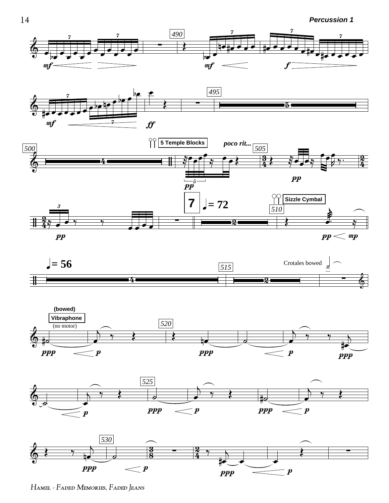*Percussion 1*

![](_page_13_Figure_1.jpeg)

![](_page_13_Figure_2.jpeg)

![](_page_13_Figure_3.jpeg)

![](_page_13_Figure_4.jpeg)

![](_page_13_Figure_5.jpeg)

![](_page_13_Figure_6.jpeg)

![](_page_13_Figure_7.jpeg)

Hamel - Faded Memories, Faded Jeans